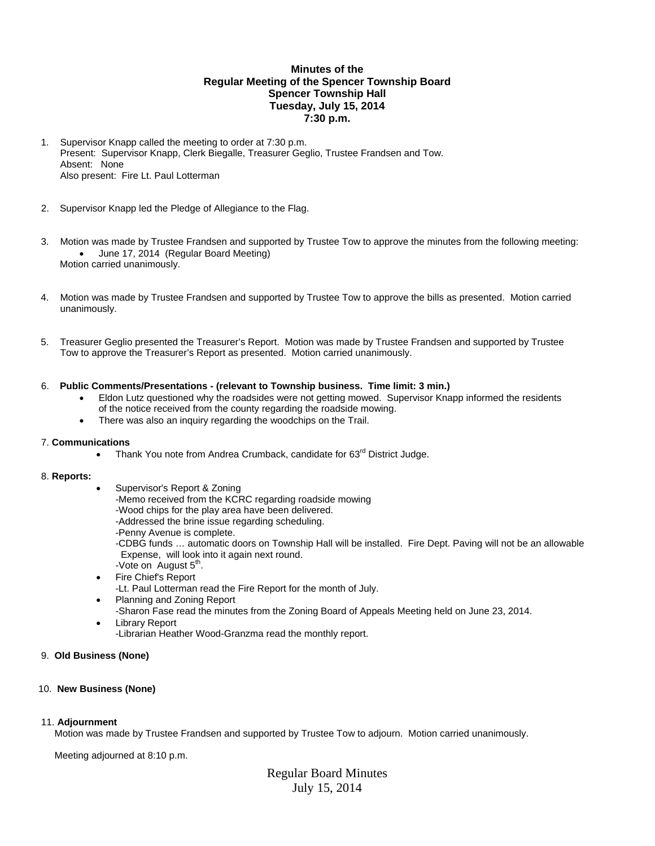# **Minutes of the Regular Meeting of the Spencer Township Board Spencer Township Hall Tuesday, July 15, 2014 7:30 p.m.**

- 1. Supervisor Knapp called the meeting to order at 7:30 p.m. Present: Supervisor Knapp, Clerk Biegalle, Treasurer Geglio, Trustee Frandsen and Tow. Absent: None Also present: Fire Lt. Paul Lotterman
- 2. Supervisor Knapp led the Pledge of Allegiance to the Flag.
- 3. Motion was made by Trustee Frandsen and supported by Trustee Tow to approve the minutes from the following meeting: June 17, 2014 (Regular Board Meeting) Motion carried unanimously.
- 4. Motion was made by Trustee Frandsen and supported by Trustee Tow to approve the bills as presented. Motion carried unanimously.
- 5. Treasurer Geglio presented the Treasurer's Report. Motion was made by Trustee Frandsen and supported by Trustee Tow to approve the Treasurer's Report as presented. Motion carried unanimously.

### 6. **Public Comments/Presentations - (relevant to Township business. Time limit: 3 min.)**

- Eldon Lutz questioned why the roadsides were not getting mowed. Supervisor Knapp informed the residents of the notice received from the county regarding the roadside mowing.
	- There was also an inquiry regarding the woodchips on the Trail.

### 7. **Communications**

• Thank You note from Andrea Crumback, candidate for 63<sup>rd</sup> District Judge.

### 8. **Reports:**

- Supervisor's Report & Zoning
- -Memo received from the KCRC regarding roadside mowing
- -Wood chips for the play area have been delivered.
- -Addressed the brine issue regarding scheduling.
- -Penny Avenue is complete.
- -CDBG funds … automatic doors on Township Hall will be installed. Fire Dept. Paving will not be an allowable Expense, will look into it again next round.
- -Vote on August  $5<sup>th</sup>$ .
- Fire Chief's Report
- -Lt. Paul Lotterman read the Fire Report for the month of July.
- Planning and Zoning Report -Sharon Fase read the minutes from the Zoning Board of Appeals Meeting held on June 23, 2014. Library Report
	- -Librarian Heather Wood-Granzma read the monthly report.

### 9. **Old Business (None)**

### 10. **New Business (None)**

# 11. **Adjournment**

Motion was made by Trustee Frandsen and supported by Trustee Tow to adjourn. Motion carried unanimously.

Meeting adjourned at 8:10 p.m.

Regular Board Minutes July 15, 2014